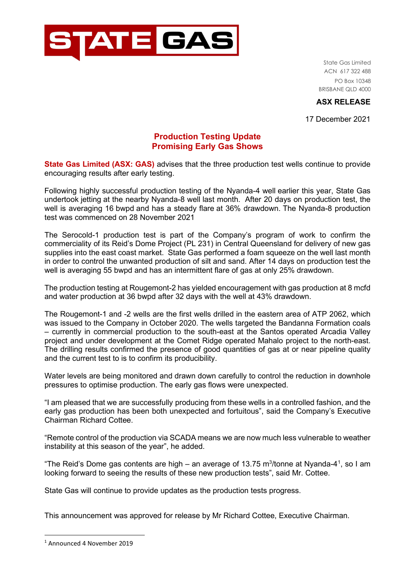

State Gas Limited ACN 617 322 488 PO Box 10348 BRISBANE QLD 4000

## **ASX RELEASE**

17 December 2021

## **Production Testing Update Promising Early Gas Shows**

**State Gas Limited (ASX: GAS)** advises that the three production test wells continue to provide encouraging results after early testing.

Following highly successful production testing of the Nyanda-4 well earlier this year, State Gas undertook jetting at the nearby Nyanda-8 well last month. After 20 days on production test, the well is averaging 16 bwpd and has a steady flare at 36% drawdown. The Nyanda-8 production test was commenced on 28 November 2021

The Serocold-1 production test is part of the Company's program of work to confirm the commerciality of its Reid's Dome Project (PL 231) in Central Queensland for delivery of new gas supplies into the east coast market. State Gas performed a foam squeeze on the well last month in order to control the unwanted production of silt and sand. After 14 days on production test the well is averaging 55 bwpd and has an intermittent flare of gas at only 25% drawdown.

The production testing at Rougemont-2 has yielded encouragement with gas production at 8 mcfd and water production at 36 bwpd after 32 days with the well at 43% drawdown.

The Rougemont-1 and -2 wells are the first wells drilled in the eastern area of ATP 2062, which was issued to the Company in October 2020. The wells targeted the Bandanna Formation coals – currently in commercial production to the south-east at the Santos operated Arcadia Valley project and under development at the Comet Ridge operated Mahalo project to the north-east. The drilling results confirmed the presence of good quantities of gas at or near pipeline quality and the current test to is to confirm its producibility.

Water levels are being monitored and drawn down carefully to control the reduction in downhole pressures to optimise production. The early gas flows were unexpected.

"I am pleased that we are successfully producing from these wells in a controlled fashion, and the early gas production has been both unexpected and fortuitous", said the Company's Executive Chairman Richard Cottee.

"Remote control of the production via SCADA means we are now much less vulnerable to weather instability at this season of the year", he added.

"The Reid's Dome gas contents are high – an average of [1](#page-0-0)3.75 m $^3$ /tonne at Nyanda-4 $^1$ , so I am looking forward to seeing the results of these new production tests", said Mr. Cottee.

State Gas will continue to provide updates as the production tests progress.

This announcement was approved for release by Mr Richard Cottee, Executive Chairman.

<span id="page-0-0"></span><sup>1</sup> Announced 4 November 2019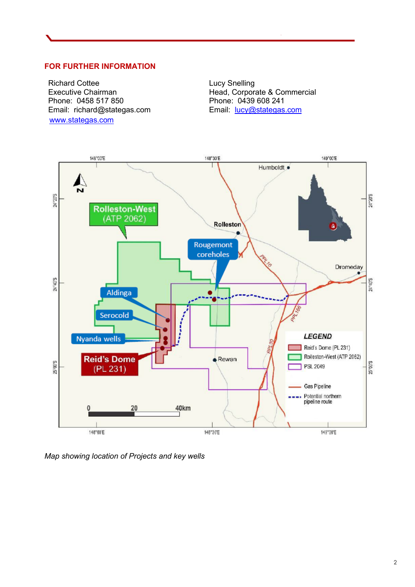## **FOR FURTHER INFORMATION**

Richard Cottee Executive Chairman Phone: 0458 517 850 Email: richard@stategas.com [www.stategas.com](http://www.stategas.com/)

Lucy Snelling Head, Corporate & Commercial Phone: 0439 608 241 Email: [lucy@stategas.com](mailto:lucy@stategas.com)



*Map showing location of Projects and key wells*